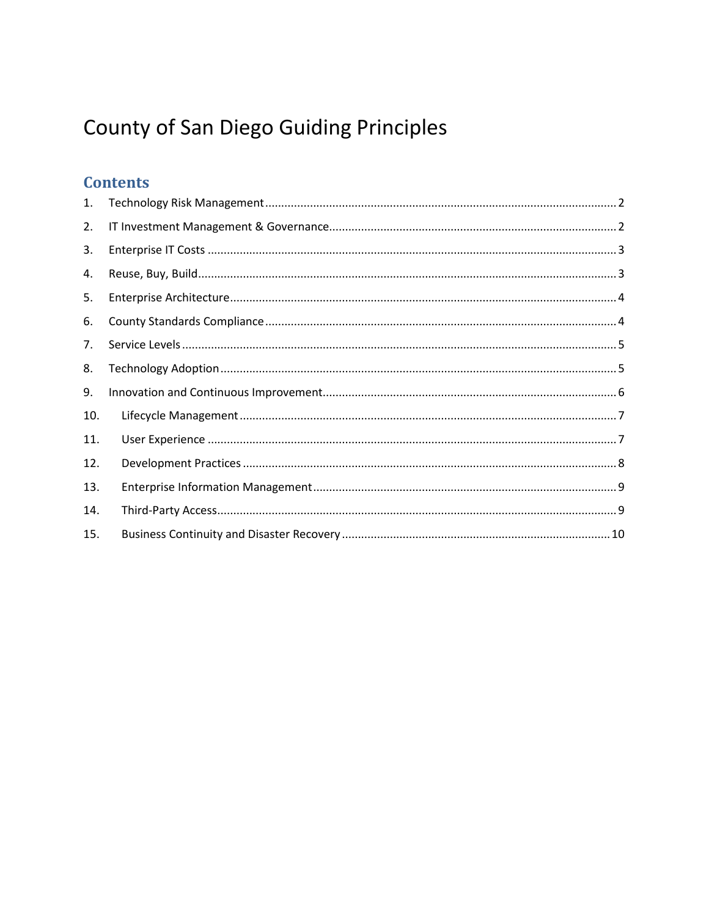# **County of San Diego Guiding Principles**

### **Contents**

| 1.  |  |
|-----|--|
| 2.  |  |
| 3.  |  |
| 4.  |  |
| 5.  |  |
| 6.  |  |
| 7.  |  |
| 8.  |  |
| 9.  |  |
| 10. |  |
| 11. |  |
| 12. |  |
| 13. |  |
| 14. |  |
| 15. |  |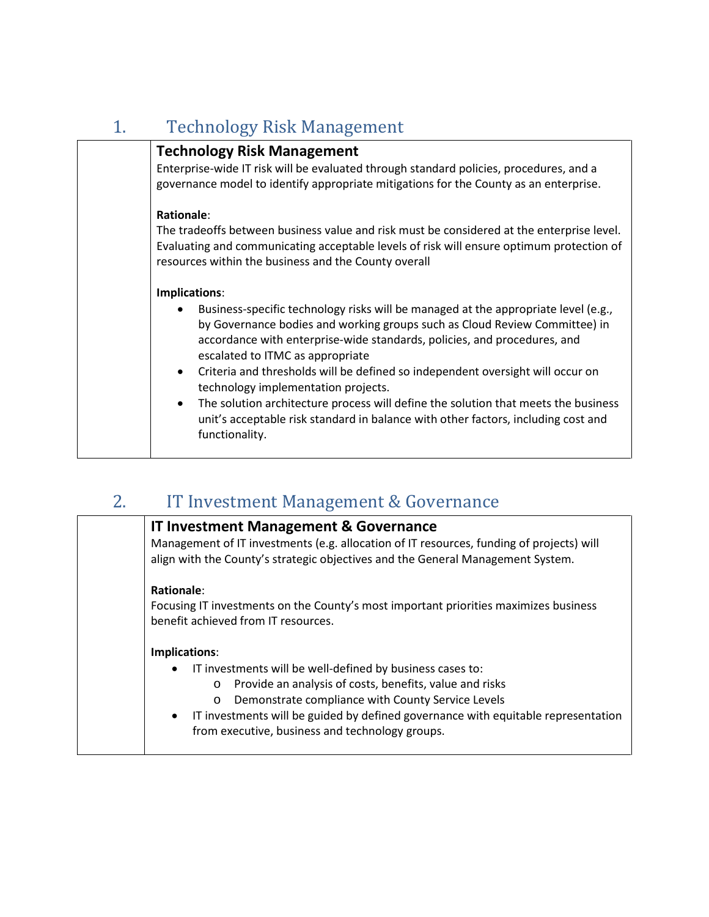<span id="page-1-0"></span>

| <b>Technology Risk Management</b>                                                                                                                                                                                                                                                                                                                                                                                                                                                                                                                                                                                                                 |
|---------------------------------------------------------------------------------------------------------------------------------------------------------------------------------------------------------------------------------------------------------------------------------------------------------------------------------------------------------------------------------------------------------------------------------------------------------------------------------------------------------------------------------------------------------------------------------------------------------------------------------------------------|
| <b>Technology Risk Management</b><br>Enterprise-wide IT risk will be evaluated through standard policies, procedures, and a<br>governance model to identify appropriate mitigations for the County as an enterprise.                                                                                                                                                                                                                                                                                                                                                                                                                              |
| Rationale:<br>The tradeoffs between business value and risk must be considered at the enterprise level.<br>Evaluating and communicating acceptable levels of risk will ensure optimum protection of<br>resources within the business and the County overall                                                                                                                                                                                                                                                                                                                                                                                       |
| Implications:<br>Business-specific technology risks will be managed at the appropriate level (e.g.,<br>by Governance bodies and working groups such as Cloud Review Committee) in<br>accordance with enterprise-wide standards, policies, and procedures, and<br>escalated to ITMC as appropriate<br>Criteria and thresholds will be defined so independent oversight will occur on<br>$\bullet$<br>technology implementation projects.<br>The solution architecture process will define the solution that meets the business<br>$\bullet$<br>unit's acceptable risk standard in balance with other factors, including cost and<br>functionality. |

# <span id="page-1-1"></span>2. IT Investment Management & Governance

| <b>IT Investment Management &amp; Governance</b><br>Management of IT investments (e.g. allocation of IT resources, funding of projects) will<br>align with the County's strategic objectives and the General Management System.                                                                                                                                       |
|-----------------------------------------------------------------------------------------------------------------------------------------------------------------------------------------------------------------------------------------------------------------------------------------------------------------------------------------------------------------------|
| Rationale:<br>Focusing IT investments on the County's most important priorities maximizes business<br>benefit achieved from IT resources.                                                                                                                                                                                                                             |
| Implications:<br>IT investments will be well-defined by business cases to:<br>$\bullet$<br>Provide an analysis of costs, benefits, value and risks<br>$\circ$<br>Demonstrate compliance with County Service Levels<br>$\circ$<br>IT investments will be guided by defined governance with equitable representation<br>from executive, business and technology groups. |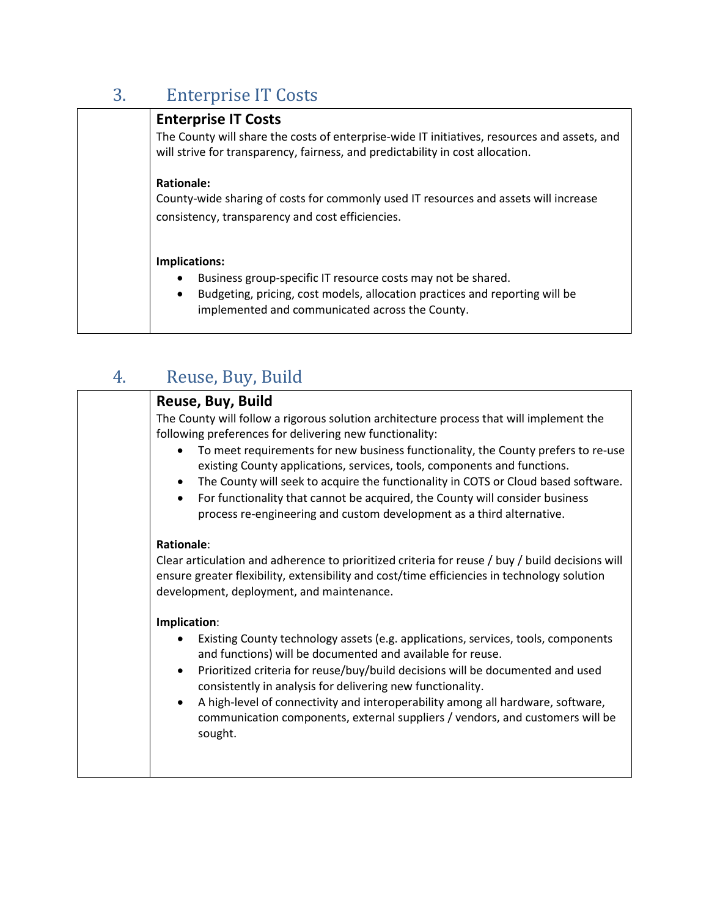<span id="page-2-0"></span>

| 3. | <b>Enterprise IT Costs</b>                                                                                                                                                                                                        |
|----|-----------------------------------------------------------------------------------------------------------------------------------------------------------------------------------------------------------------------------------|
|    | <b>Enterprise IT Costs</b><br>The County will share the costs of enterprise-wide IT initiatives, resources and assets, and<br>will strive for transparency, fairness, and predictability in cost allocation.                      |
|    | <b>Rationale:</b><br>County-wide sharing of costs for commonly used IT resources and assets will increase<br>consistency, transparency and cost efficiencies.                                                                     |
|    | Implications:<br>Business group-specific IT resource costs may not be shared.<br>٠<br>Budgeting, pricing, cost models, allocation practices and reporting will be<br>$\bullet$<br>implemented and communicated across the County. |

# <span id="page-2-1"></span>4. Reuse, Buy, Build

| Reuse, Buy, Build                                                                                                                                                                                                                                                                                                                                                                                                                      |
|----------------------------------------------------------------------------------------------------------------------------------------------------------------------------------------------------------------------------------------------------------------------------------------------------------------------------------------------------------------------------------------------------------------------------------------|
| The County will follow a rigorous solution architecture process that will implement the<br>following preferences for delivering new functionality:                                                                                                                                                                                                                                                                                     |
| To meet requirements for new business functionality, the County prefers to re-use<br>existing County applications, services, tools, components and functions.<br>The County will seek to acquire the functionality in COTS or Cloud based software.<br>$\bullet$<br>For functionality that cannot be acquired, the County will consider business<br>$\bullet$<br>process re-engineering and custom development as a third alternative. |
| <b>Rationale:</b><br>Clear articulation and adherence to prioritized criteria for reuse / buy / build decisions will<br>ensure greater flexibility, extensibility and cost/time efficiencies in technology solution<br>development, deployment, and maintenance.                                                                                                                                                                       |
| Implication:                                                                                                                                                                                                                                                                                                                                                                                                                           |
| Existing County technology assets (e.g. applications, services, tools, components<br>and functions) will be documented and available for reuse.                                                                                                                                                                                                                                                                                        |
| Prioritized criteria for reuse/buy/build decisions will be documented and used<br>٠<br>consistently in analysis for delivering new functionality.                                                                                                                                                                                                                                                                                      |
| A high-level of connectivity and interoperability among all hardware, software,<br>$\bullet$<br>communication components, external suppliers / vendors, and customers will be<br>sought.                                                                                                                                                                                                                                               |
|                                                                                                                                                                                                                                                                                                                                                                                                                                        |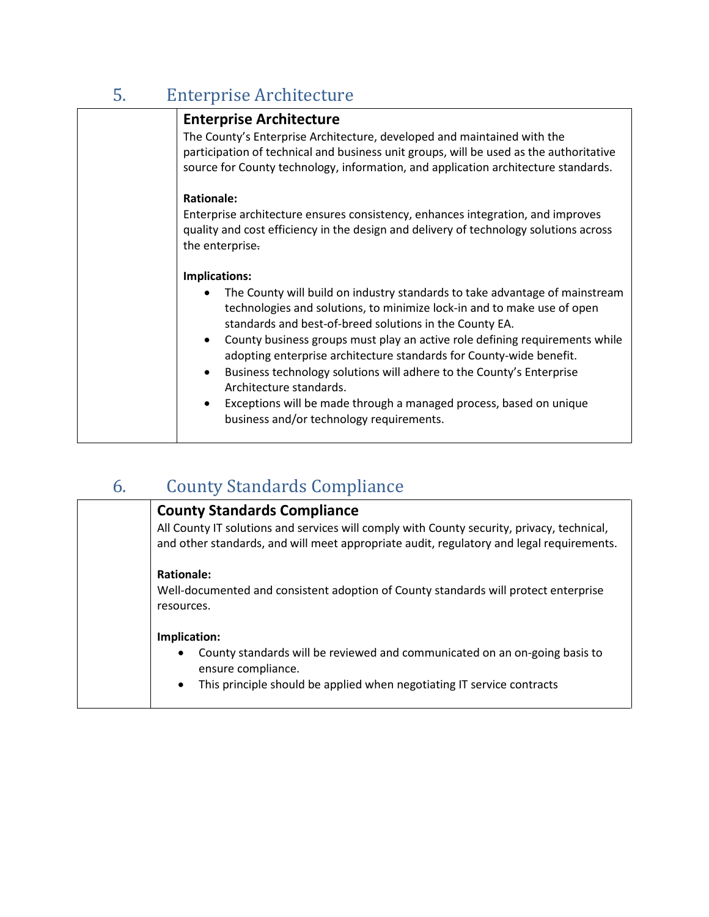<span id="page-3-0"></span>

| 5. | <b>Enterprise Architecture</b>                                                                                                                                                                                                                                                                                                                                                                                                                                                                                                                                                                                                                            |
|----|-----------------------------------------------------------------------------------------------------------------------------------------------------------------------------------------------------------------------------------------------------------------------------------------------------------------------------------------------------------------------------------------------------------------------------------------------------------------------------------------------------------------------------------------------------------------------------------------------------------------------------------------------------------|
|    | <b>Enterprise Architecture</b><br>The County's Enterprise Architecture, developed and maintained with the<br>participation of technical and business unit groups, will be used as the authoritative<br>source for County technology, information, and application architecture standards.                                                                                                                                                                                                                                                                                                                                                                 |
|    | <b>Rationale:</b><br>Enterprise architecture ensures consistency, enhances integration, and improves<br>quality and cost efficiency in the design and delivery of technology solutions across<br>the enterprise.                                                                                                                                                                                                                                                                                                                                                                                                                                          |
|    | Implications:<br>The County will build on industry standards to take advantage of mainstream<br>٠<br>technologies and solutions, to minimize lock-in and to make use of open<br>standards and best-of-breed solutions in the County EA.<br>County business groups must play an active role defining requirements while<br>$\bullet$<br>adopting enterprise architecture standards for County-wide benefit.<br>Business technology solutions will adhere to the County's Enterprise<br>$\bullet$<br>Architecture standards.<br>Exceptions will be made through a managed process, based on unique<br>$\bullet$<br>business and/or technology requirements. |

### <span id="page-3-1"></span>6. County Standards Compliance

### **County Standards Compliance**

All County IT solutions and services will comply with County security, privacy, technical, and other standards, and will meet appropriate audit, regulatory and legal requirements.

### **Rationale:**

Well-documented and consistent adoption of County standards will protect enterprise resources.

#### **Implication:**

- County standards will be reviewed and communicated on an on-going basis to ensure compliance.
- This principle should be applied when negotiating IT service contracts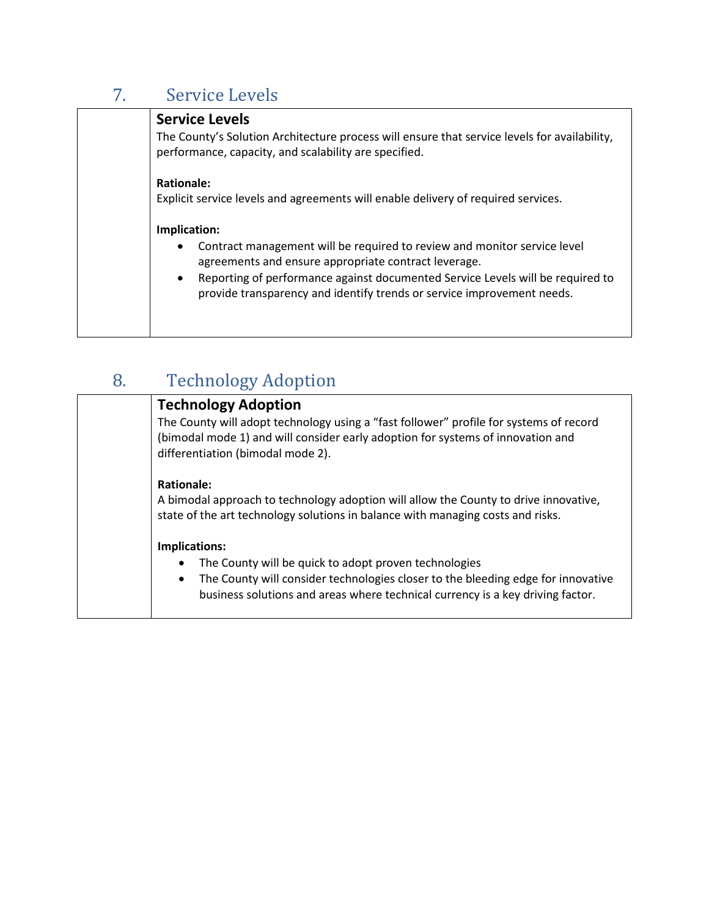## <span id="page-4-0"></span>7. Service Levels

| <b>Service Levels</b><br>The County's Solution Architecture process will ensure that service levels for availability,<br>performance, capacity, and scalability are specified.                                                                                                                                                         |
|----------------------------------------------------------------------------------------------------------------------------------------------------------------------------------------------------------------------------------------------------------------------------------------------------------------------------------------|
| Rationale:<br>Explicit service levels and agreements will enable delivery of required services.                                                                                                                                                                                                                                        |
| Implication:<br>Contract management will be required to review and monitor service level<br>$\bullet$<br>agreements and ensure appropriate contract leverage.<br>Reporting of performance against documented Service Levels will be required to<br>$\bullet$<br>provide transparency and identify trends or service improvement needs. |

# <span id="page-4-1"></span>8. Technology Adoption

| <b>Technology Adoption</b>                                                                                                                                                                                                                   |
|----------------------------------------------------------------------------------------------------------------------------------------------------------------------------------------------------------------------------------------------|
| The County will adopt technology using a "fast follower" profile for systems of record<br>(bimodal mode 1) and will consider early adoption for systems of innovation and<br>differentiation (bimodal mode 2).                               |
| <b>Rationale:</b><br>A bimodal approach to technology adoption will allow the County to drive innovative,<br>state of the art technology solutions in balance with managing costs and risks.                                                 |
| Implications:<br>The County will be quick to adopt proven technologies<br>The County will consider technologies closer to the bleeding edge for innovative<br>business solutions and areas where technical currency is a key driving factor. |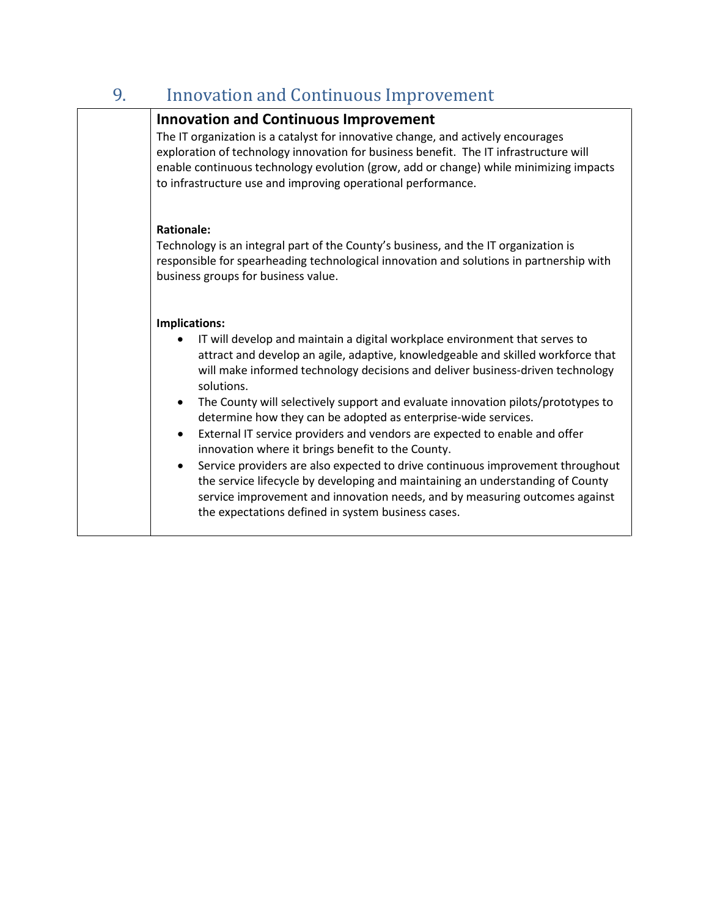### <span id="page-5-0"></span>9. Innovation and Continuous Improvement

### **Innovation and Continuous Improvement** The IT organization is a catalyst for innovative change, and actively encourages exploration of technology innovation for business benefit. The IT infrastructure will enable continuous technology evolution (grow, add or change) while minimizing impacts to infrastructure use and improving operational performance.

### **Rationale:**

Technology is an integral part of the County's business, and the IT organization is responsible for spearheading technological innovation and solutions in partnership with business groups for business value.

### **Implications:**

- IT will develop and maintain a digital workplace environment that serves to attract and develop an agile, adaptive, knowledgeable and skilled workforce that will make informed technology decisions and deliver business-driven technology solutions.
- The County will selectively support and evaluate innovation pilots/prototypes to determine how they can be adopted as enterprise-wide services.
- External IT service providers and vendors are expected to enable and offer innovation where it brings benefit to the County.
- Service providers are also expected to drive continuous improvement throughout the service lifecycle by developing and maintaining an understanding of County service improvement and innovation needs, and by measuring outcomes against the expectations defined in system business cases.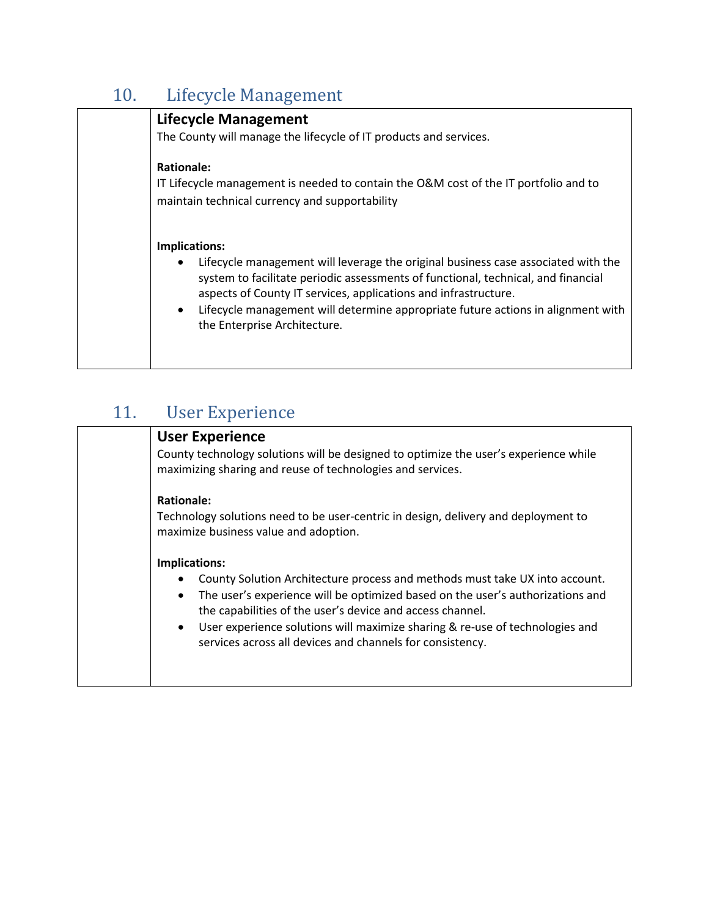# 10. Lifecycle Management

<span id="page-6-0"></span>

| <b>Lifecycle Management</b><br>The County will manage the lifecycle of IT products and services.                                                                                                                                                                                                                                                                                            |
|---------------------------------------------------------------------------------------------------------------------------------------------------------------------------------------------------------------------------------------------------------------------------------------------------------------------------------------------------------------------------------------------|
| <b>Rationale:</b><br>IT Lifecycle management is needed to contain the O&M cost of the IT portfolio and to<br>maintain technical currency and supportability                                                                                                                                                                                                                                 |
| Implications:<br>Lifecycle management will leverage the original business case associated with the<br>system to facilitate periodic assessments of functional, technical, and financial<br>aspects of County IT services, applications and infrastructure.<br>Lifecycle management will determine appropriate future actions in alignment with<br>$\bullet$<br>the Enterprise Architecture. |

## <span id="page-6-1"></span>11. User Experience

| <b>User Experience</b><br>County technology solutions will be designed to optimize the user's experience while<br>maximizing sharing and reuse of technologies and services.                                                                                                                                                                                                                                       |
|--------------------------------------------------------------------------------------------------------------------------------------------------------------------------------------------------------------------------------------------------------------------------------------------------------------------------------------------------------------------------------------------------------------------|
| <b>Rationale:</b><br>Technology solutions need to be user-centric in design, delivery and deployment to<br>maximize business value and adoption.                                                                                                                                                                                                                                                                   |
| Implications:<br>County Solution Architecture process and methods must take UX into account.<br>The user's experience will be optimized based on the user's authorizations and<br>$\bullet$<br>the capabilities of the user's device and access channel.<br>User experience solutions will maximize sharing & re-use of technologies and<br>$\bullet$<br>services across all devices and channels for consistency. |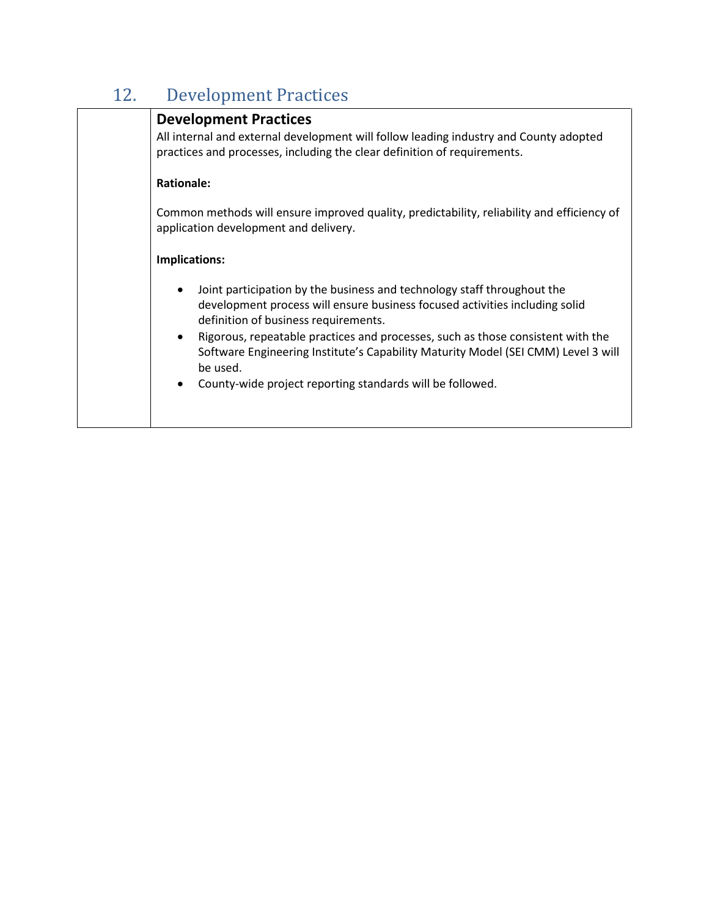# 12. Development Practices

<span id="page-7-0"></span>

| <b>Development Practices</b>                                                                                                                                                                   |
|------------------------------------------------------------------------------------------------------------------------------------------------------------------------------------------------|
| All internal and external development will follow leading industry and County adopted<br>practices and processes, including the clear definition of requirements.                              |
| <b>Rationale:</b>                                                                                                                                                                              |
| Common methods will ensure improved quality, predictability, reliability and efficiency of<br>application development and delivery.                                                            |
| Implications:                                                                                                                                                                                  |
| Joint participation by the business and technology staff throughout the<br>development process will ensure business focused activities including solid<br>definition of business requirements. |
| Rigorous, repeatable practices and processes, such as those consistent with the<br>$\bullet$<br>Software Engineering Institute's Capability Maturity Model (SEI CMM) Level 3 will<br>be used.  |
| County-wide project reporting standards will be followed.<br>$\bullet$                                                                                                                         |
|                                                                                                                                                                                                |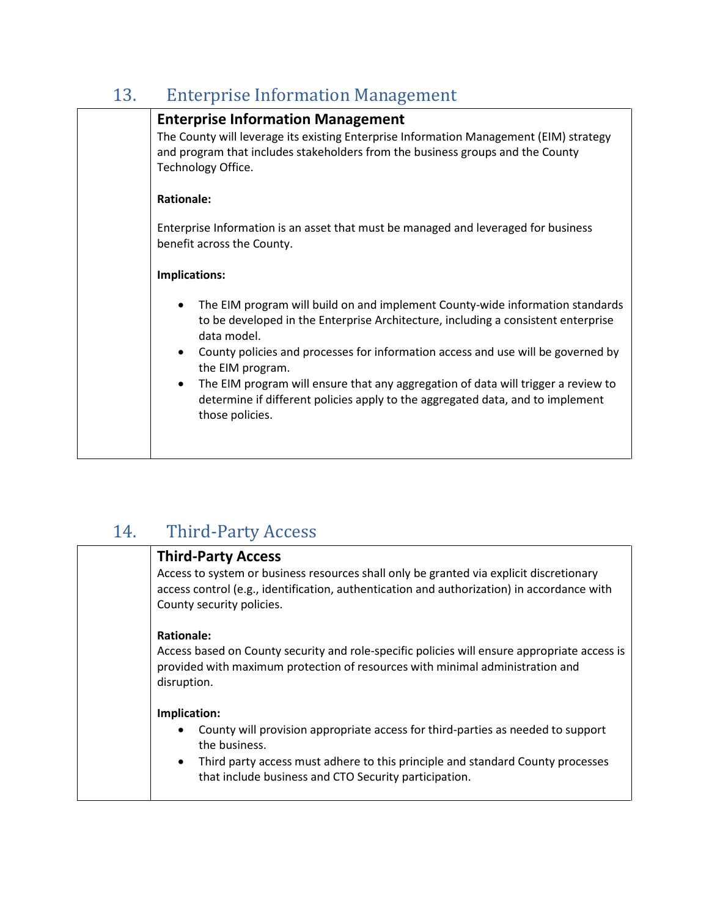## 13. Enterprise Information Management

<span id="page-8-0"></span>

| <b>Enterprise Information Management</b><br>The County will leverage its existing Enterprise Information Management (EIM) strategy<br>and program that includes stakeholders from the business groups and the County<br>Technology Office.                            |
|-----------------------------------------------------------------------------------------------------------------------------------------------------------------------------------------------------------------------------------------------------------------------|
| <b>Rationale:</b><br>Enterprise Information is an asset that must be managed and leveraged for business                                                                                                                                                               |
| benefit across the County.<br>Implications:                                                                                                                                                                                                                           |
| The EIM program will build on and implement County-wide information standards<br>to be developed in the Enterprise Architecture, including a consistent enterprise<br>data model.<br>County policies and processes for information access and use will be governed by |
| the EIM program.<br>The EIM program will ensure that any aggregation of data will trigger a review to<br>٠<br>determine if different policies apply to the aggregated data, and to implement<br>those policies.                                                       |
|                                                                                                                                                                                                                                                                       |

## 14. Third-Party Access

<span id="page-8-1"></span>

| <b>Third-Party Access</b>                                                                                                                                                                    |
|----------------------------------------------------------------------------------------------------------------------------------------------------------------------------------------------|
| Access to system or business resources shall only be granted via explicit discretionary                                                                                                      |
| access control (e.g., identification, authentication and authorization) in accordance with                                                                                                   |
| County security policies.                                                                                                                                                                    |
| <b>Rationale:</b>                                                                                                                                                                            |
| Access based on County security and role-specific policies will ensure appropriate access is<br>provided with maximum protection of resources with minimal administration and<br>disruption. |
| Implication:                                                                                                                                                                                 |
| County will provision appropriate access for third-parties as needed to support<br>the business.                                                                                             |
| Third party access must adhere to this principle and standard County processes<br>$\bullet$<br>that include business and CTO Security participation.                                         |
|                                                                                                                                                                                              |